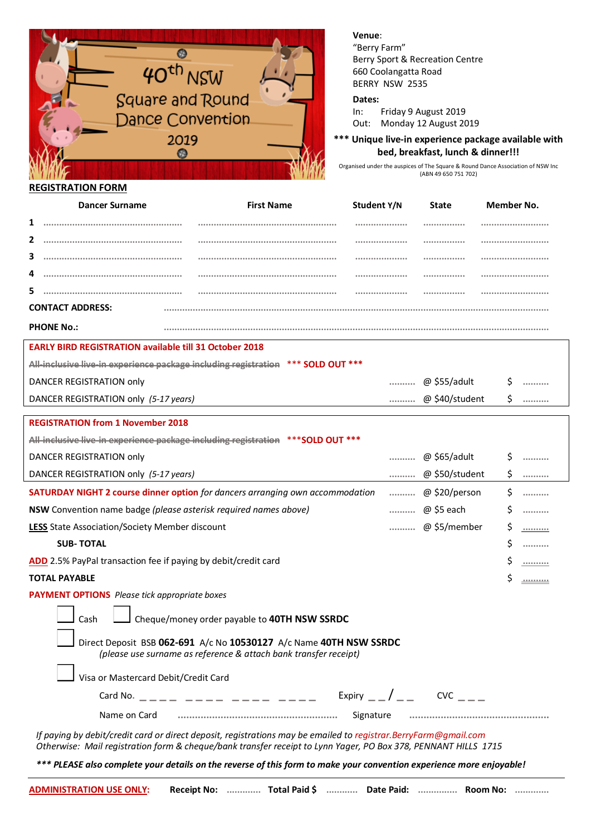

## **Venue**:

"Berry Farm" Berry Sport & Recreation Centre 660 Coolangatta Road BERRY NSW 2535

## **Dates:**

In: Friday 9 August 2019 Out: Monday 12 August 2019

**\*\*\* Unique live-in experience package available with bed, breakfast, lunch & dinner!!!**

Organised under the auspices of The Square & Round Dance Association of NSW Inc (ABN 49 650 751 702)

| Dancer Surname          | <b>First Name</b> | Student Y/N | <b>State</b> | Member No. |
|-------------------------|-------------------|-------------|--------------|------------|
|                         |                   |             |              |            |
|                         |                   |             |              |            |
|                         |                   |             |              |            |
|                         |                   |             |              |            |
|                         |                   |             |              |            |
| <b>CONTACT ADDRESS:</b> |                   |             |              |            |
| <b>PHONE No.:</b>       |                   |             |              |            |

| All-inclusive live-in experience package including registration *** SOLD OUT *** |                |  |
|----------------------------------------------------------------------------------|----------------|--|
| DANCER REGISTRATION only                                                         | @ \$55/adult   |  |
| DANCER REGISTRATION only (5-17 years)                                            | @ \$40/student |  |
| <b>DECICED ATION from 4 November 2040</b>                                        |                |  |

| <b>REGISTRATION from 1 NOVEMBER 2018</b>                                                                                                                   |  |
|------------------------------------------------------------------------------------------------------------------------------------------------------------|--|
| All-inclusive live-in experience package including registration *** SOLD OUT ***<br><u>For including the in-experience puttings including registration</u> |  |

**EARLY BIRD REGISTRATION available till 31 October 2018**

| DANCER REGISTRATION only                                                             | <br>@ \$65/adult   | . |
|--------------------------------------------------------------------------------------|--------------------|---|
| DANCER REGISTRATION only (5-17 years)                                                | <br>@ \$50/student |   |
| <b>SATURDAY NIGHT 2 course dinner option</b> for dancers arranging own accommodation | <br>@ \$20/person  |   |
| <b>NSW</b> Convention name badge (please asterisk required names above)              | <br>@ \$5 each     |   |
| <b>LESS</b> State Association/Society Member discount                                | <br>@ \$5/member   |   |
| <b>SUB-TOTAL</b>                                                                     |                    |   |
|                                                                                      |                    |   |

**ADD** 2.5% PayPal transaction fee if paying by debit/credit card **ADD** 2.5% PayPal transaction fee if paying by debit/credit card

**TOTAL PAYABLE** \$ **..........**

**PAYMENT OPTIONS** *Please tick appropriate boxes*

| - Cash |  | Cheque/money order payable to 40TH NSW SSRDC |
|--------|--|----------------------------------------------|
|--------|--|----------------------------------------------|

| Direct Deposit BSB 062-691 A/c No 10530127 A/c Name 40TH NSW SSRDC |
|--------------------------------------------------------------------|
| (please use surname as reference & attach bank transfer receipt)   |

Visa or Mastercard Debit/Credit Card

| Card No.     |           |  |
|--------------|-----------|--|
| Name on Card | Signature |  |

*If paying by debit/credit card or direct deposit, registrations may be emailed to registrar.BerryFarm@gmail.com Otherwise: Mail registration form & cheque/bank transfer receipt to Lynn Yager, PO Box 378, PENNANT HILLS 1715*

*\*\*\* PLEASE also complete your details on the reverse of this form to make your convention experience more enjoyable!*